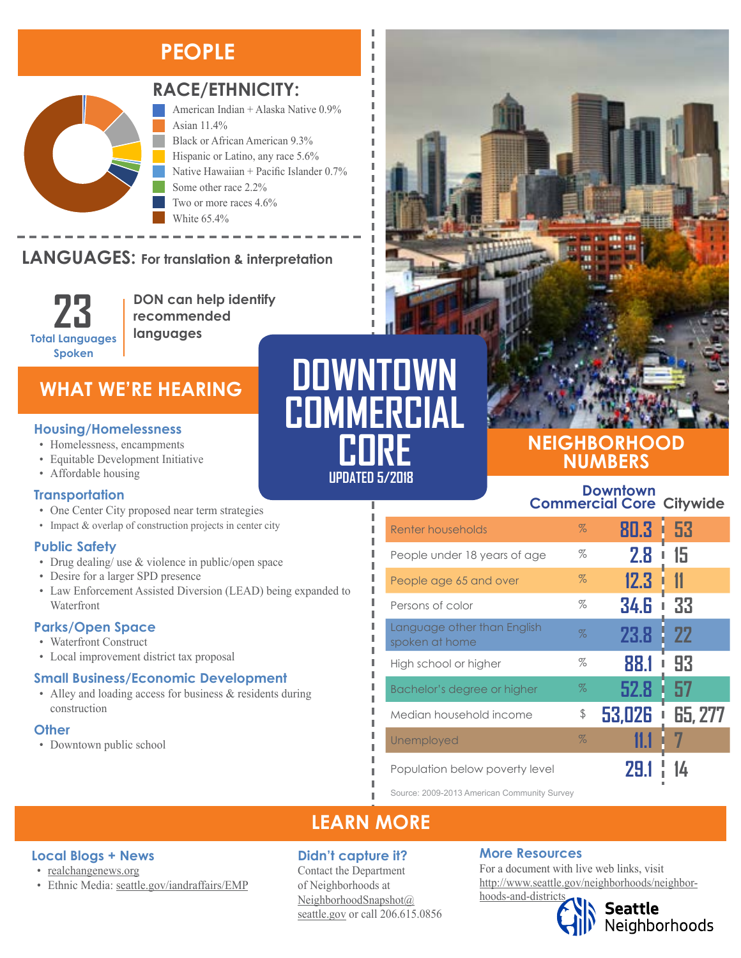## **PEOPLE**



### **RACE/ETHNICITY:**

Two or more races 4.6%

American Indian + Alaska Native 0.9% Asian 11.4% Black or African American 9.3% Hispanic or Latino, any race 5.6% Native Hawaiian + Pacific Islander 0.7% Some other race 2.2%

#### **LANGUAGES:** For translation & interpretation  $T_{\text{A}}$ NG-HAC

**23 Total Languages Spoken**

**DON can help identify recommended languages**

White 65 4%

### **WHAT WE'RE HEARING**

- Homelessness, encampments
- 
- Affordable housing

#### **Transportation**

- One Center City proposed near term strategies
- Impact & overlap of construction projects in center city

#### **Public Safety**

- Drug dealing/ use & violence in public/open space
- Desire for a larger SPD presence
- Law Enforcement Assisted Diversion (LEAD) being expanded to Waterfront

#### **Parks/Open Space**

- Waterfront Construct
- Local improvement district tax proposal

• Ethnic Media: [seattle.gov/iandraffairs/EMP](http://www.seattle.gov/iandraffairs/EMP)

#### **Small Business/Economic Development**

• Alley and loading access for business & residents during construction

#### **Other**

• Downtown public school

**Local Blogs + News** • [realchangenews.org](http://realchangenews.org/)

# **UPDATED 5/2018 DOWNTOWN COMMERCIAL COREE INTERNATIONS**<br>
• Equitable Development Initiative<br>
• Equitable Development Initiative<br>
• Affordable beneins

л I Л

### **NEIGHBORHOOD NUMBERS**

#### **Downtown Commercial Core Citywide**

| Renter households                             | $\%$ | 80.3   | 53<br>I |
|-----------------------------------------------|------|--------|---------|
| People under 18 years of age                  | %    | 2.8    | 15      |
| People age 65 and over                        | $\%$ | 12.3   | 11      |
| Persons of color                              | %    | 34.G   | 33<br>ı |
| Language other than English<br>spoken at home | $\%$ | 23.8   | 22      |
| High school or higher                         | %    | 88.1   | 93      |
| Bachelor's degree or higher                   | $\%$ | 52.8   | 57      |
| Median household income                       | \$   | 53,026 | 65, 277 |
| Unemployed                                    | $\%$ |        |         |
| Population below poverty level                |      |        |         |

Source: 2009-2013 American Community Survey

## **LEARN MORE**

#### **Didn't capture it?**

Contact the Department of Neighborhoods at [NeighborhoodSnapshot@](mailto:NeighborhoodSnapshot%40%0Aseattle.gov?subject=) [seattle.gov](mailto:NeighborhoodSnapshot%40%0Aseattle.gov?subject=) or call 206.615.0856

#### **More Resources**

For a document with live web links, visit [http://www.seattle.gov/neighborhoods/neighbor](http://www.seattle.gov/neighborhoods/neighborhoods-and-districts)[hoods-and-districts](http://www.seattle.gov/neighborhoods/neighborhoods-and-districts)

Seattle<br>Neighborhoods